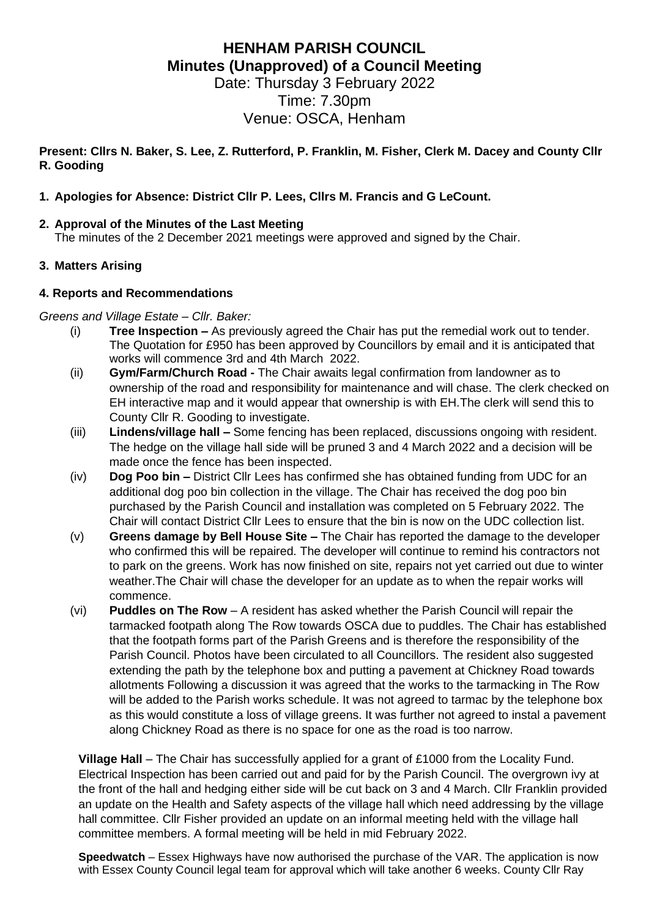# **HENHAM PARISH COUNCIL Minutes (Unapproved) of a Council Meeting**

Date: Thursday 3 February 2022 Time: 7.30pm Venue: OSCA, Henham

**Present: Cllrs N. Baker, S. Lee, Z. Rutterford, P. Franklin, M. Fisher, Clerk M. Dacey and County Cllr R. Gooding**

## **1. Apologies for Absence: District Cllr P. Lees, Cllrs M. Francis and G LeCount.**

## **2. Approval of the Minutes of the Last Meeting**

The minutes of the 2 December 2021 meetings were approved and signed by the Chair.

## **3. Matters Arising**

### **4. Reports and Recommendations**

### *Greens and Village Estate – Cllr. Baker:*

- (i) **Tree Inspection –** As previously agreed the Chair has put the remedial work out to tender. The Quotation for £950 has been approved by Councillors by email and it is anticipated that works will commence 3rd and 4th March 2022.
- (ii) **Gym/Farm/Church Road -** The Chair awaits legal confirmation from landowner as to ownership of the road and responsibility for maintenance and will chase. The clerk checked on EH interactive map and it would appear that ownership is with EH.The clerk will send this to County Cllr R. Gooding to investigate.
- (iii) **Lindens/village hall –** Some fencing has been replaced, discussions ongoing with resident. The hedge on the village hall side will be pruned 3 and 4 March 2022 and a decision will be made once the fence has been inspected.
- (iv) **Dog Poo bin –** District Cllr Lees has confirmed she has obtained funding from UDC for an additional dog poo bin collection in the village. The Chair has received the dog poo bin purchased by the Parish Council and installation was completed on 5 February 2022. The Chair will contact District Cllr Lees to ensure that the bin is now on the UDC collection list.
- (v) **Greens damage by Bell House Site –** The Chair has reported the damage to the developer who confirmed this will be repaired. The developer will continue to remind his contractors not to park on the greens. Work has now finished on site, repairs not yet carried out due to winter weather.The Chair will chase the developer for an update as to when the repair works will commence.
- (vi) **Puddles on The Row** A resident has asked whether the Parish Council will repair the tarmacked footpath along The Row towards OSCA due to puddles. The Chair has established that the footpath forms part of the Parish Greens and is therefore the responsibility of the Parish Council. Photos have been circulated to all Councillors. The resident also suggested extending the path by the telephone box and putting a pavement at Chickney Road towards allotments Following a discussion it was agreed that the works to the tarmacking in The Row will be added to the Parish works schedule. It was not agreed to tarmac by the telephone box as this would constitute a loss of village greens. It was further not agreed to instal a pavement along Chickney Road as there is no space for one as the road is too narrow.

**Village Hall** – The Chair has successfully applied for a grant of £1000 from the Locality Fund. Electrical Inspection has been carried out and paid for by the Parish Council. The overgrown ivy at the front of the hall and hedging either side will be cut back on 3 and 4 March. Cllr Franklin provided an update on the Health and Safety aspects of the village hall which need addressing by the village hall committee. Cllr Fisher provided an update on an informal meeting held with the village hall committee members. A formal meeting will be held in mid February 2022.

**Speedwatch** – Essex Highways have now authorised the purchase of the VAR. The application is now with Essex County Council legal team for approval which will take another 6 weeks. County Cllr Ray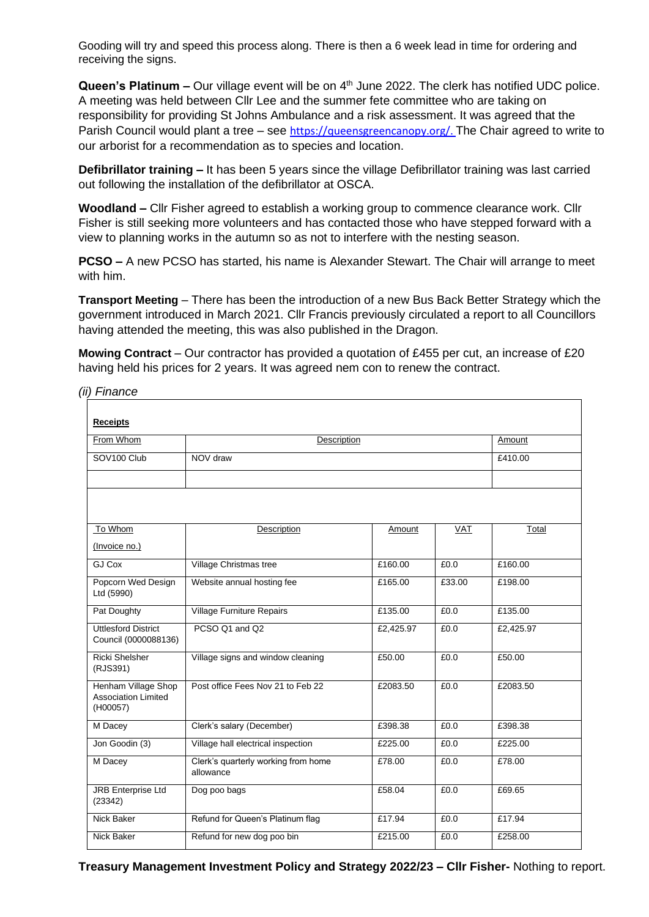Gooding will try and speed this process along. There is then a 6 week lead in time for ordering and receiving the signs.

Queen's Platinum – Our village event will be on 4<sup>th</sup> June 2022. The clerk has notified UDC police. A meeting was held between Cllr Lee and the summer fete committee who are taking on responsibility for providing St Johns Ambulance and a risk assessment. It was agreed that the Parish Council would plant a tree – see https://gueensgreencanopy.org/. The Chair agreed to write to our arborist for a recommendation as to species and location.

**Defibrillator training –** It has been 5 years since the village Defibrillator training was last carried out following the installation of the defibrillator at OSCA.

**Woodland –** Cllr Fisher agreed to establish a working group to commence clearance work. Cllr Fisher is still seeking more volunteers and has contacted those who have stepped forward with a view to planning works in the autumn so as not to interfere with the nesting season.

**PCSO –** A new PCSO has started, his name is Alexander Stewart. The Chair will arrange to meet with him.

**Transport Meeting** – There has been the introduction of a new Bus Back Better Strategy which the government introduced in March 2021. Cllr Francis previously circulated a report to all Councillors having attended the meeting, this was also published in the Dragon.

**Mowing Contract** – Our contractor has provided a quotation of £455 per cut, an increase of £20 having held his prices for 2 years. It was agreed nem con to renew the contract.

*(ii) Finance*

| <b>Receipts</b>                        |                                     |           |            |           |
|----------------------------------------|-------------------------------------|-----------|------------|-----------|
| From Whom                              | Description                         |           |            | Amount    |
| SOV <sub>100</sub> Club                | NOV draw                            |           |            | £410.00   |
|                                        |                                     |           |            |           |
|                                        |                                     |           |            |           |
|                                        |                                     |           |            |           |
| To Whom                                | Description                         | Amount    | <b>VAT</b> | Total     |
| (Invoice no.)                          |                                     |           |            |           |
| GJ Cox                                 | Village Christmas tree              | £160.00   | £0.0       | £160.00   |
|                                        |                                     |           |            |           |
| Popcorn Wed Design<br>Ltd (5990)       | Website annual hosting fee          | £165.00   | £33.00     | £198.00   |
| Pat Doughty                            | <b>Village Furniture Repairs</b>    | £135.00   | £0.0       | £135.00   |
| <b>Uttlesford District</b>             | PCSO Q1 and Q2                      | £2,425.97 | £0.0       | £2,425.97 |
| Council (0000088136)                   |                                     |           |            |           |
| <b>Ricki Shelsher</b><br>(RJS391)      | Village signs and window cleaning   | £50.00    | £0.0       | £50.00    |
| Henham Village Shop                    | Post office Fees Nov 21 to Feb 22   | £2083.50  | £0.0       | £2083.50  |
| <b>Association Limited</b><br>(H00057) |                                     |           |            |           |
| M Dacey                                | Clerk's salary (December)           | £398.38   | £0.0       | £398.38   |
| Jon Goodin (3)                         | Village hall electrical inspection  | £225.00   | £0.0       | £225.00   |
| M Dacey                                | Clerk's quarterly working from home | £78.00    | £0.0       | £78.00    |
|                                        | allowance                           |           |            |           |
| <b>JRB Enterprise Ltd</b>              | Dog poo bags                        | £58.04    | £0.0       | £69.65    |
| (23342)                                |                                     |           |            |           |
| Nick Baker                             | Refund for Queen's Platinum flag    | £17.94    | £0.0       | £17.94    |
| Nick Baker                             | Refund for new dog poo bin          | £215.00   | £0.0       | £258.00   |

**Treasury Management Investment Policy and Strategy 2022/23 – Cllr Fisher-** Nothing to report.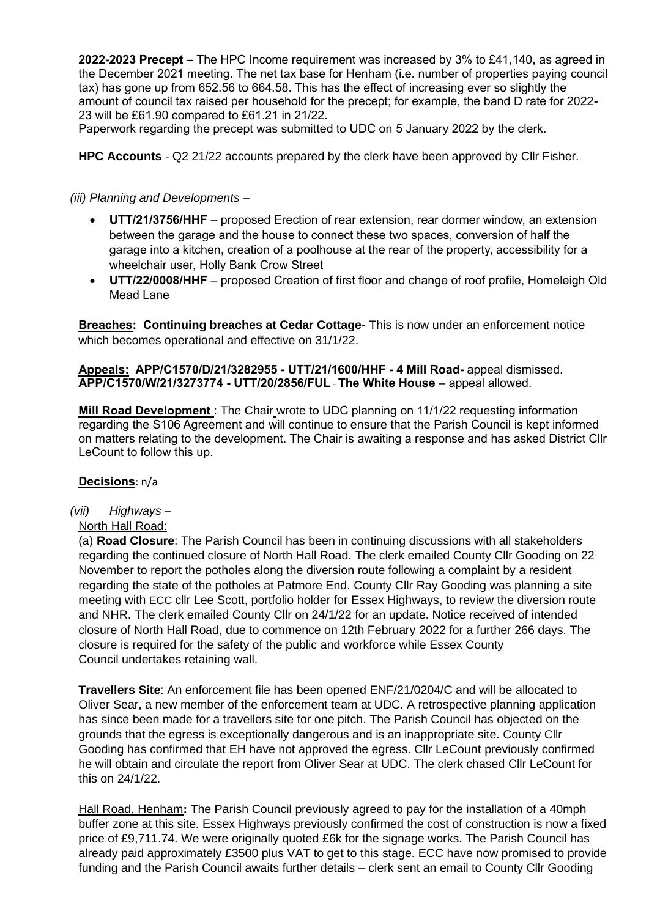**2022-2023 Precept –** The HPC Income requirement was increased by 3% to £41,140, as agreed in the December 2021 meeting. The net tax base for Henham (i.e. number of properties paying council tax) has gone up from 652.56 to 664.58. This has the effect of increasing ever so slightly the amount of council tax raised per household for the precept; for example, the band D rate for 2022- 23 will be £61.90 compared to £61.21 in 21/22.

Paperwork regarding the precept was submitted to UDC on 5 January 2022 by the clerk.

**HPC Accounts** - Q2 21/22 accounts prepared by the clerk have been approved by Cllr Fisher.

## *(iii) Planning and Developments –*

- **UTT/21/3756/HHF** proposed Erection of rear extension, rear dormer window, an extension between the garage and the house to connect these two spaces, conversion of half the garage into a kitchen, creation of a poolhouse at the rear of the property, accessibility for a wheelchair user, Holly Bank Crow Street
- **UTT/22/0008/HHF** proposed Creation of first floor and change of roof profile, Homeleigh Old Mead Lane

**Breaches: Continuing breaches at Cedar Cottage**- This is now under an enforcement notice which becomes operational and effective on 31/1/22.

### **Appeals: APP/C1570/D/21/3282955 - UTT/21/1600/HHF - 4 Mill Road-** appeal dismissed. **APP/C1570/W/21/3273774 - UTT/20/2856/FUL** - **The White House** – appeal allowed.

**Mill Road Development** : The Chair wrote to UDC planning on 11/1/22 requesting information regarding the S106 Agreement and will continue to ensure that the Parish Council is kept informed on matters relating to the development. The Chair is awaiting a response and has asked District Cllr LeCount to follow this up.

### **Decisions**: n/a

*(vii) Highways –*

## North Hall Road:

(a) **Road Closure**: The Parish Council has been in continuing discussions with all stakeholders regarding the continued closure of North Hall Road. The clerk emailed County Cllr Gooding on 22 November to report the potholes along the diversion route following a complaint by a resident regarding the state of the potholes at Patmore End. County Cllr Ray Gooding was planning a site meeting with ECC cllr Lee Scott, portfolio holder for Essex Highways, to review the diversion route and NHR. The clerk emailed County Cllr on 24/1/22 for an update. Notice received of intended closure of North Hall Road, due to commence on 12th February 2022 for a further 266 days. The closure is required for the safety of the public and workforce while Essex County Council undertakes retaining wall.

**Travellers Site**: An enforcement file has been opened ENF/21/0204/C and will be allocated to Oliver Sear, a new member of the enforcement team at UDC. A retrospective planning application has since been made for a travellers site for one pitch. The Parish Council has objected on the grounds that the egress is exceptionally dangerous and is an inappropriate site. County Cllr Gooding has confirmed that EH have not approved the egress. Cllr LeCount previously confirmed he will obtain and circulate the report from Oliver Sear at UDC. The clerk chased Cllr LeCount for this on 24/1/22.

Hall Road, Henham**:** The Parish Council previously agreed to pay for the installation of a 40mph buffer zone at this site. Essex Highways previously confirmed the cost of construction is now a fixed price of £9,711.74. We were originally quoted £6k for the signage works. The Parish Council has already paid approximately £3500 plus VAT to get to this stage. ECC have now promised to provide funding and the Parish Council awaits further details – clerk sent an email to County Cllr Gooding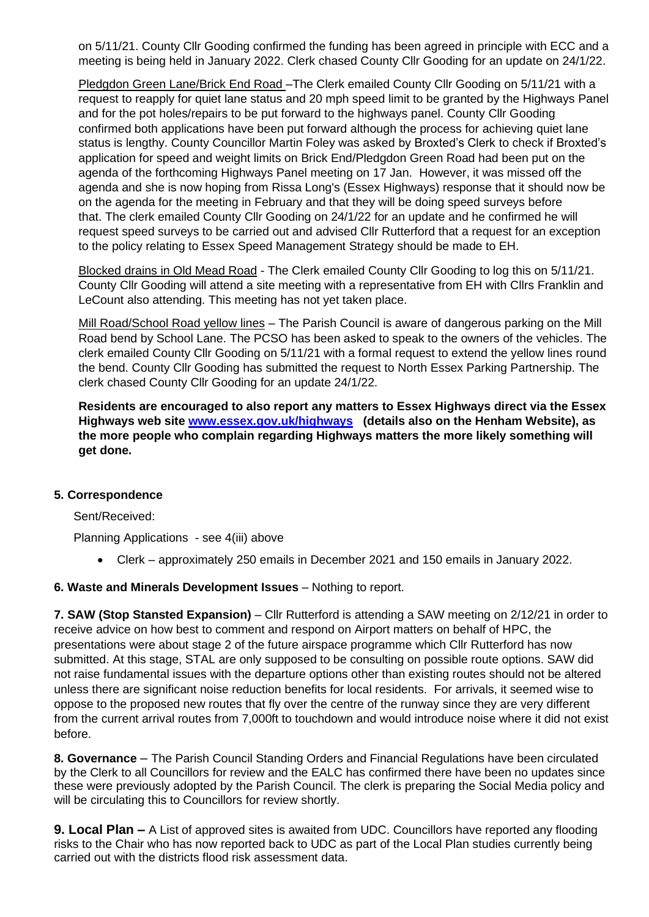on 5/11/21. County Cllr Gooding confirmed the funding has been agreed in principle with ECC and a meeting is being held in January 2022. Clerk chased County Cllr Gooding for an update on 24/1/22.

Pledgdon Green Lane/Brick End Road –The Clerk emailed County Cllr Gooding on 5/11/21 with a request to reapply for quiet lane status and 20 mph speed limit to be granted by the Highways Panel and for the pot holes/repairs to be put forward to the highways panel. County Cllr Gooding confirmed both applications have been put forward although the process for achieving quiet lane status is lengthy. County Councillor Martin Foley was asked by Broxted's Clerk to check if Broxted's application for speed and weight limits on Brick End/Pledgdon Green Road had been put on the agenda of the forthcoming Highways Panel meeting on 17 Jan. However, it was missed off the agenda and she is now hoping from Rissa Long's (Essex Highways) response that it should now be on the agenda for the meeting in February and that they will be doing speed surveys before that. The clerk emailed County Cllr Gooding on 24/1/22 for an update and he confirmed he will request speed surveys to be carried out and advised Cllr Rutterford that a request for an exception to the policy relating to Essex Speed Management Strategy should be made to EH.

Blocked drains in Old Mead Road - The Clerk emailed County Cllr Gooding to log this on 5/11/21. County Cllr Gooding will attend a site meeting with a representative from EH with Cllrs Franklin and LeCount also attending. This meeting has not yet taken place.

Mill Road/School Road yellow lines – The Parish Council is aware of dangerous parking on the Mill Road bend by School Lane. The PCSO has been asked to speak to the owners of the vehicles. The clerk emailed County Cllr Gooding on 5/11/21 with a formal request to extend the yellow lines round the bend. County Cllr Gooding has submitted the request to North Essex Parking Partnership. The clerk chased County Cllr Gooding for an update 24/1/22.

**Residents are encouraged to also report any matters to Essex Highways direct via the Essex Highways web site [www.essex.gov.uk/highways](http://www.essex.gov.uk/highways) (details also on the Henham Website), as the more people who complain regarding Highways matters the more likely something will get done.**

### **5. Correspondence**

Sent/Received:

Planning Applications - see 4(iii) above

- Clerk approximately 250 emails in December 2021 and 150 emails in January 2022.
- **6. Waste and Minerals Development Issues** Nothing to report.

**7. SAW (Stop Stansted Expansion)** – Cllr Rutterford is attending a SAW meeting on 2/12/21 in order to receive advice on how best to comment and respond on Airport matters on behalf of HPC, the presentations were about stage 2 of the future airspace programme which Cllr Rutterford has now submitted. At this stage, STAL are only supposed to be consulting on possible route options. SAW did not raise fundamental issues with the departure options other than existing routes should not be altered unless there are significant noise reduction benefits for local residents. For arrivals, it seemed wise to oppose to the proposed new routes that fly over the centre of the runway since they are very different from the current arrival routes from 7,000ft to touchdown and would introduce noise where it did not exist before.

**8. Governance** – The Parish Council Standing Orders and Financial Regulations have been circulated by the Clerk to all Councillors for review and the EALC has confirmed there have been no updates since these were previously adopted by the Parish Council. The clerk is preparing the Social Media policy and will be circulating this to Councillors for review shortly.

**9. Local Plan –** A List of approved sites is awaited from UDC. Councillors have reported any flooding risks to the Chair who has now reported back to UDC as part of the Local Plan studies currently being carried out with the districts flood risk assessment data.